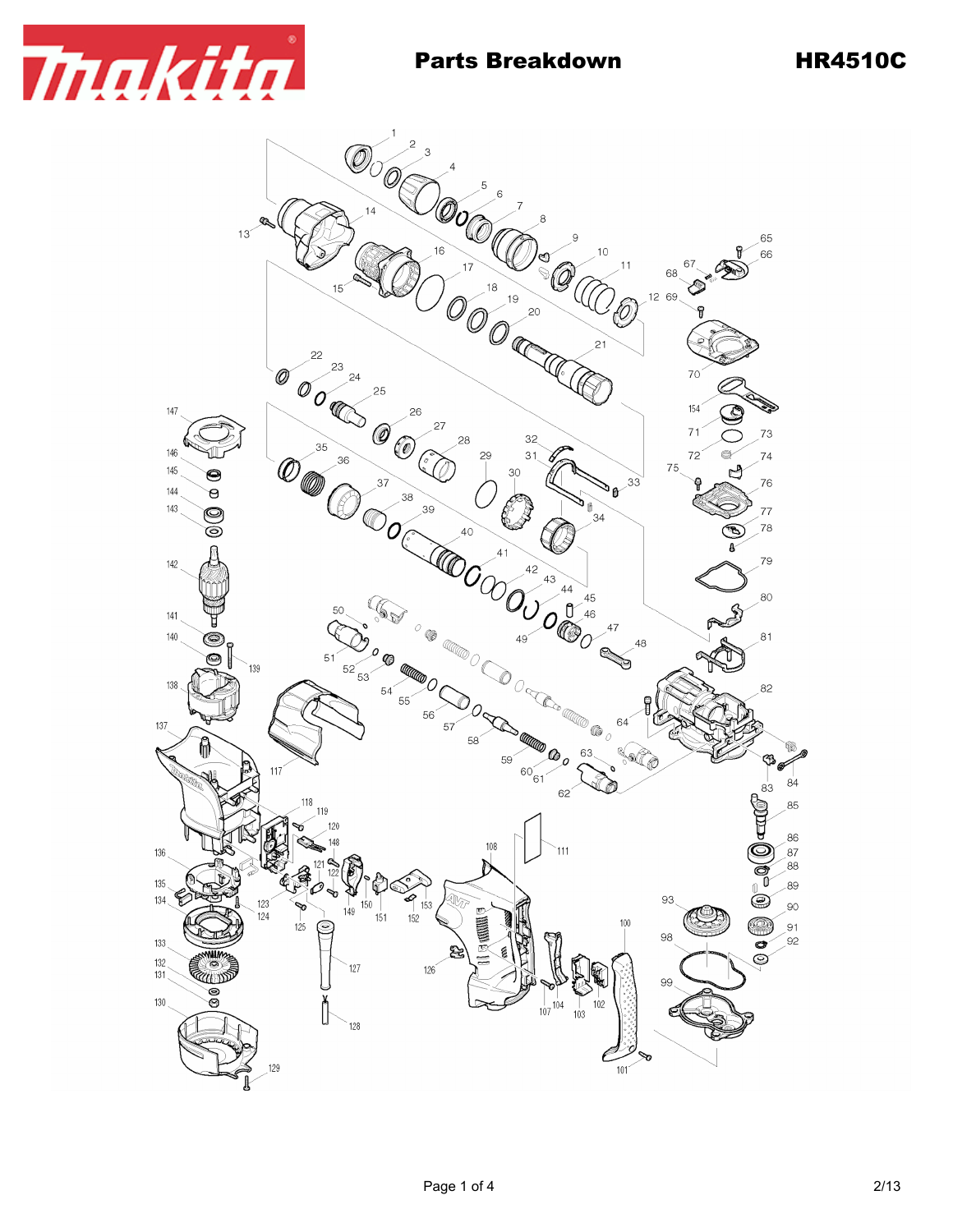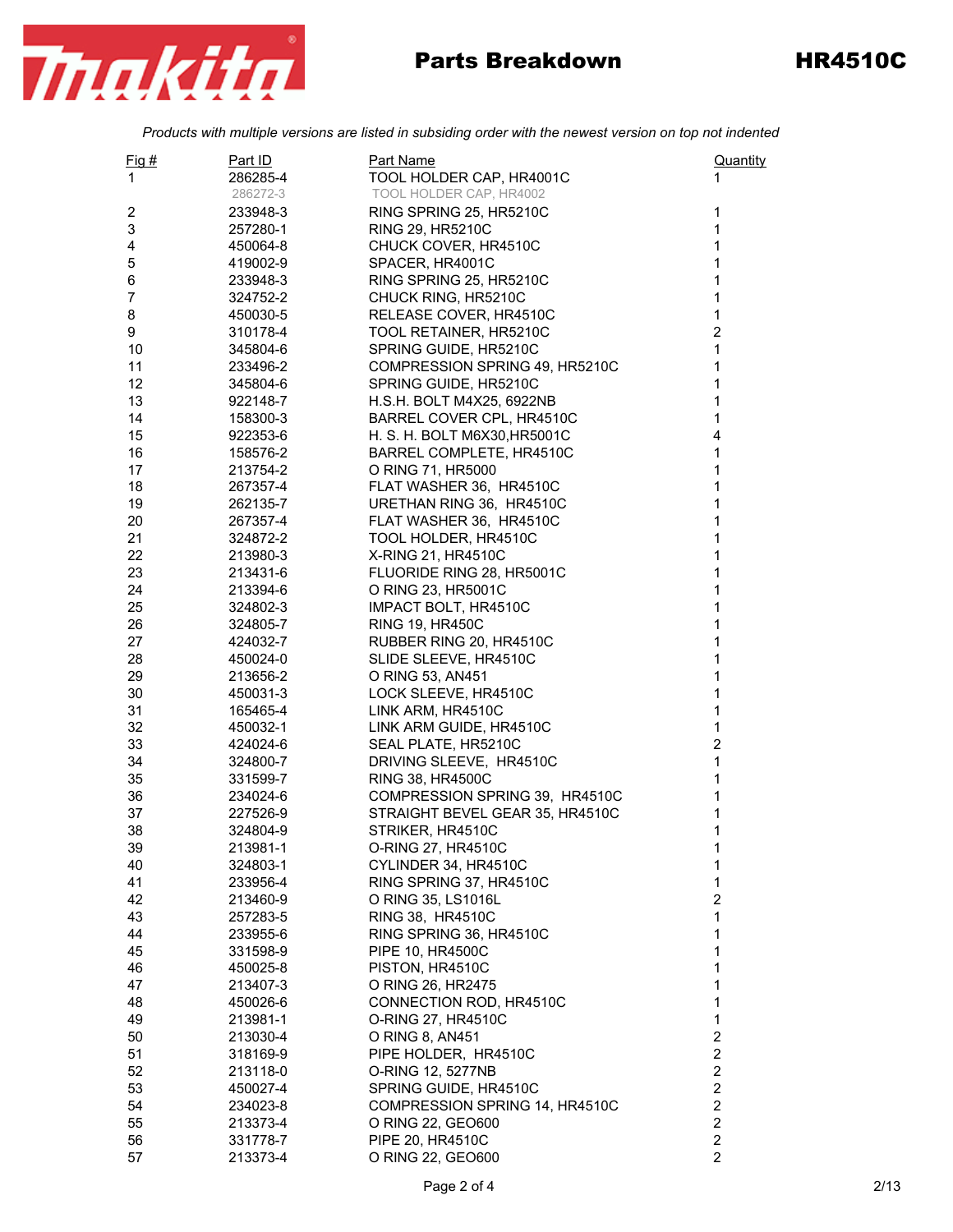

## Parts Breakdown HR4510C

*Products with multiple versions are listed in subsiding order with the newest version on top not indented*

| Fig  #         | Part ID              | Part Name                             | Quantity                                |
|----------------|----------------------|---------------------------------------|-----------------------------------------|
| 1              | 286285-4             | TOOL HOLDER CAP, HR4001C              | 1                                       |
|                | 286272-3             | TOOL HOLDER CAP, HR4002               |                                         |
| 2              | 233948-3             | RING SPRING 25, HR5210C               | 1                                       |
| 3              | 257280-1             | RING 29, HR5210C                      | $\mathbf{1}$                            |
| 4              | 450064-8             | CHUCK COVER, HR4510C                  | $\mathbf 1$                             |
| 5              | 419002-9             | SPACER, HR4001C                       | $\mathbf 1$                             |
| 6              | 233948-3             | RING SPRING 25, HR5210C               | 1                                       |
| $\overline{7}$ | 324752-2             | CHUCK RING, HR5210C                   | 1                                       |
| 8              | 450030-5             | RELEASE COVER, HR4510C                | $\mathbf{1}$                            |
| 9              | 310178-4             | TOOL RETAINER, HR5210C                | $\overline{c}$                          |
| 10             | 345804-6             | SPRING GUIDE, HR5210C                 | $\mathbf 1$                             |
| 11             | 233496-2             | COMPRESSION SPRING 49, HR5210C        | $\mathbf{1}$                            |
| 12             | 345804-6             | SPRING GUIDE, HR5210C                 | $\mathbf 1$                             |
| 13             | 922148-7             | H.S.H. BOLT M4X25, 6922NB             | 1                                       |
| 14             | 158300-3             | BARREL COVER CPL, HR4510C             | 1                                       |
| 15             | 922353-6             | H. S. H. BOLT M6X30, HR5001C          | 4                                       |
| 16             | 158576-2             | BARREL COMPLETE, HR4510C              | $\mathbf{1}$                            |
| 17             | 213754-2             | O RING 71, HR5000                     | $\mathbf{1}$                            |
| 18             | 267357-4             | FLAT WASHER 36, HR4510C               | $\mathbf 1$                             |
| 19             | 262135-7             | URETHAN RING 36, HR4510C              | 1                                       |
| 20             | 267357-4             | FLAT WASHER 36, HR4510C               | 1                                       |
| 21             | 324872-2             | TOOL HOLDER, HR4510C                  | $\mathbf 1$                             |
| 22             | 213980-3             | X-RING 21, HR4510C                    | $\mathbf{1}$                            |
| 23             | 213431-6             | FLUORIDE RING 28, HR5001C             | $\mathbf 1$                             |
| 24             | 213394-6             | O RING 23, HR5001C                    | 1                                       |
| 25             | 324802-3             | IMPACT BOLT, HR4510C                  | $\mathbf 1$                             |
| 26             | 324805-7             | <b>RING 19, HR450C</b>                | 1                                       |
| 27             | 424032-7             | RUBBER RING 20, HR4510C               | 1                                       |
| 28             | 450024-0             | SLIDE SLEEVE, HR4510C                 | $\mathbf{1}$                            |
| 29             | 213656-2             | O RING 53, AN451                      | 1                                       |
| 30             | 450031-3             | LOCK SLEEVE, HR4510C                  | $\mathbf 1$                             |
| 31             | 165465-4             | LINK ARM, HR4510C                     | 1                                       |
| 32             | 450032-1             | LINK ARM GUIDE, HR4510C               | $\mathbf{1}$                            |
| 33             | 424024-6             | SEAL PLATE, HR5210C                   | $\boldsymbol{2}$                        |
| 34             | 324800-7             | DRIVING SLEEVE, HR4510C               | $\mathbf{1}$                            |
| 35             | 331599-7             | RING 38, HR4500C                      | $\mathbf 1$                             |
| 36             | 234024-6             | COMPRESSION SPRING 39, HR4510C        | 1                                       |
| 37             | 227526-9             | STRAIGHT BEVEL GEAR 35, HR4510C       | 1                                       |
| 38             | 324804-9             | STRIKER, HR4510C                      | 1                                       |
| 39             | 213981-1             | O-RING 27, HR4510C                    | 1                                       |
| 40             | 324803-1             | CYLINDER 34, HR4510C                  | 1                                       |
| 41             | 233956-4             | RING SPRING 37, HR4510C               | 1                                       |
| 42             | 213460-9             | O RING 35, LS1016L                    | $\overline{\mathbf{c}}$                 |
| 43<br>44       | 257283-5             | RING 38, HR4510C                      | 1<br>1                                  |
|                | 233955-6             | RING SPRING 36, HR4510C               |                                         |
| 45             | 331598-9<br>450025-8 | PIPE 10, HR4500C<br>PISTON, HR4510C   | 1<br>1                                  |
| 46<br>47       | 213407-3             | O RING 26, HR2475                     | 1                                       |
| 48             |                      | CONNECTION ROD, HR4510C               | 1                                       |
|                | 450026-6             |                                       |                                         |
| 49<br>50       | 213981-1<br>213030-4 | O-RING 27, HR4510C<br>O RING 8, AN451 | $\mathbf{1}$<br>$\overline{\mathbf{c}}$ |
| 51             | 318169-9             | PIPE HOLDER, HR4510C                  | $\overline{\mathbf{c}}$                 |
| 52             | 213118-0             | O-RING 12, 5277NB                     | 2                                       |
| 53             | 450027-4             | SPRING GUIDE, HR4510C                 | 2                                       |
| 54             | 234023-8             | COMPRESSION SPRING 14, HR4510C        | $\overline{\mathbf{c}}$                 |
| 55             | 213373-4             | O RING 22, GEO600                     | $\overline{c}$                          |
| 56             | 331778-7             | PIPE 20, HR4510C                      | $\overline{\mathbf{c}}$                 |
| 57             | 213373-4             | O RING 22, GEO600                     | $\overline{2}$                          |
|                |                      |                                       |                                         |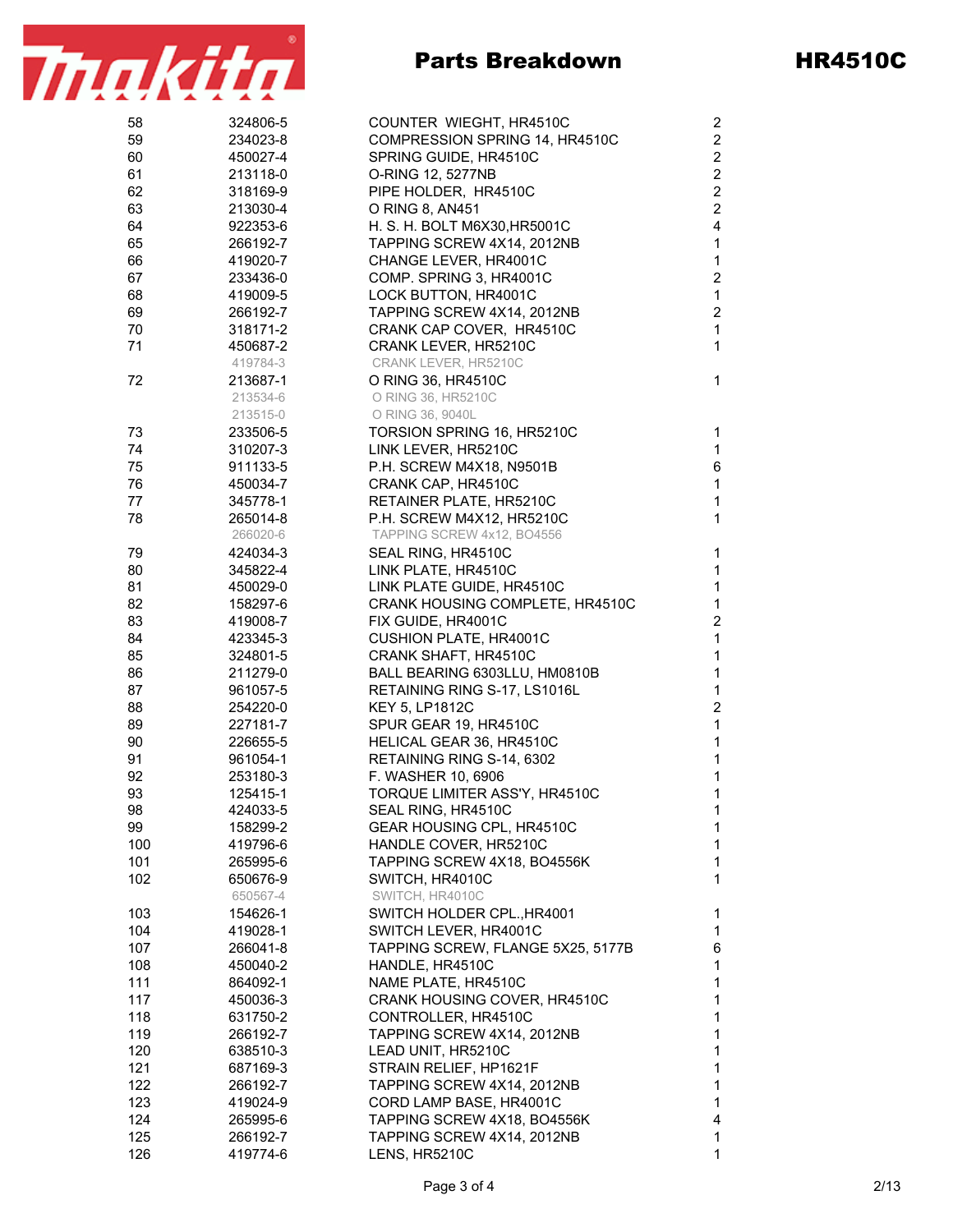

| 58  | 324806-5 | COUNTER WIEGHT, HR4510C           | $\overline{\mathbf{c}}$ |
|-----|----------|-----------------------------------|-------------------------|
| 59  | 234023-8 | COMPRESSION SPRING 14, HR4510C    | $\boldsymbol{2}$        |
| 60  | 450027-4 | SPRING GUIDE, HR4510C             | $\boldsymbol{2}$        |
| 61  | 213118-0 | O-RING 12, 5277NB                 | $\boldsymbol{2}$        |
| 62  | 318169-9 | PIPE HOLDER, HR4510C              | $\boldsymbol{2}$        |
| 63  | 213030-4 | O RING 8, AN451                   | $\mathbf 2$             |
| 64  | 922353-6 | H. S. H. BOLT M6X30, HR5001C      | $\overline{\mathbf{4}}$ |
| 65  | 266192-7 | TAPPING SCREW 4X14, 2012NB        | 1                       |
| 66  | 419020-7 | CHANGE LEVER, HR4001C             | $\mathbf{1}$            |
| 67  | 233436-0 | COMP. SPRING 3, HR4001C           | $\boldsymbol{2}$        |
| 68  | 419009-5 | LOCK BUTTON, HR4001C              | $\mathbf{1}$            |
| 69  | 266192-7 | TAPPING SCREW 4X14, 2012NB        | $\boldsymbol{2}$        |
| 70  | 318171-2 | CRANK CAP COVER, HR4510C          | $\mathbf{1}$            |
| 71  | 450687-2 | CRANK LEVER, HR5210C              | $\mathbf{1}$            |
|     | 419784-3 | CRANK LEVER, HR5210C              |                         |
| 72  | 213687-1 | O RING 36, HR4510C                | $\mathbf{1}$            |
|     | 213534-6 | O RING 36, HR5210C                |                         |
|     | 213515-0 | O RING 36, 9040L                  |                         |
| 73  | 233506-5 | TORSION SPRING 16, HR5210C        | 1                       |
| 74  | 310207-3 | LINK LEVER, HR5210C               | $\mathbf{1}$            |
| 75  | 911133-5 | P.H. SCREW M4X18, N9501B          | 6                       |
| 76  | 450034-7 | CRANK CAP, HR4510C                | $\mathbf{1}$            |
| 77  | 345778-1 | RETAINER PLATE, HR5210C           | $\mathbf{1}$            |
| 78  | 265014-8 | P.H. SCREW M4X12, HR5210C         | $\mathbf{1}$            |
|     | 266020-6 | TAPPING SCREW 4x12, BO4556        |                         |
| 79  | 424034-3 | SEAL RING, HR4510C                | $\mathbf{1}$            |
| 80  | 345822-4 | LINK PLATE, HR4510C               | 1                       |
| 81  | 450029-0 | LINK PLATE GUIDE, HR4510C         | 1                       |
| 82  | 158297-6 | CRANK HOUSING COMPLETE, HR4510C   | $\mathbf{1}$            |
| 83  | 419008-7 | FIX GUIDE, HR4001C                | $\overline{\mathbf{c}}$ |
| 84  | 423345-3 | CUSHION PLATE, HR4001C            | $\mathbf{1}$            |
| 85  | 324801-5 | CRANK SHAFT, HR4510C              | $\mathbf{1}$            |
| 86  | 211279-0 | BALL BEARING 6303LLU, HM0810B     | $\mathbf{1}$            |
| 87  | 961057-5 | RETAINING RING S-17, LS1016L      | $\mathbf{1}$            |
| 88  | 254220-0 | <b>KEY 5, LP1812C</b>             | $\sqrt{2}$              |
| 89  | 227181-7 | SPUR GEAR 19, HR4510C             | $\mathbf{1}$            |
| 90  | 226655-5 | HELICAL GEAR 36, HR4510C          | $\mathbf{1}$            |
| 91  | 961054-1 | RETAINING RING S-14, 6302         | $\mathbf{1}$            |
| 92  | 253180-3 | F. WASHER 10, 6906                | $\mathbf{1}$            |
| 93  | 125415-1 | TORQUE LIMITER ASS'Y, HR4510C     | 1                       |
| 98  | 424033-5 | SEAL RING, HR4510C                | 1                       |
| 99  | 158299-2 | GEAR HOUSING CPL, HR4510C         | 1                       |
| 100 | 419796-6 | HANDLE COVER, HR5210C             | 1                       |
| 101 | 265995-6 | TAPPING SCREW 4X18, BO4556K       | 1                       |
| 102 | 650676-9 | SWITCH, HR4010C                   | $\mathbf{1}$            |
|     | 650567-4 | SWITCH, HR4010C                   |                         |
| 103 | 154626-1 | SWITCH HOLDER CPL., HR4001        | 1                       |
| 104 | 419028-1 | SWITCH LEVER, HR4001C             | 1                       |
| 107 | 266041-8 | TAPPING SCREW, FLANGE 5X25, 5177B | 6                       |
| 108 | 450040-2 | HANDLE, HR4510C                   | $\mathbf 1$             |
| 111 | 864092-1 | NAME PLATE, HR4510C               | 1                       |
| 117 | 450036-3 | CRANK HOUSING COVER, HR4510C      | 1                       |
| 118 | 631750-2 | CONTROLLER, HR4510C               | 1                       |
| 119 | 266192-7 | TAPPING SCREW 4X14, 2012NB        | 1                       |
| 120 | 638510-3 | LEAD UNIT, HR5210C                | 1                       |
| 121 | 687169-3 | STRAIN RELIEF, HP1621F            | $\mathbf{1}$            |
| 122 | 266192-7 | TAPPING SCREW 4X14, 2012NB        | 1                       |
| 123 | 419024-9 | CORD LAMP BASE, HR4001C           | $\mathbf{1}$            |
| 124 | 265995-6 | TAPPING SCREW 4X18, BO4556K       | 4                       |
| 125 | 266192-7 | TAPPING SCREW 4X14, 2012NB        | 1                       |
| 126 | 419774-6 | LENS, HR5210C                     | 1                       |
|     |          |                                   |                         |